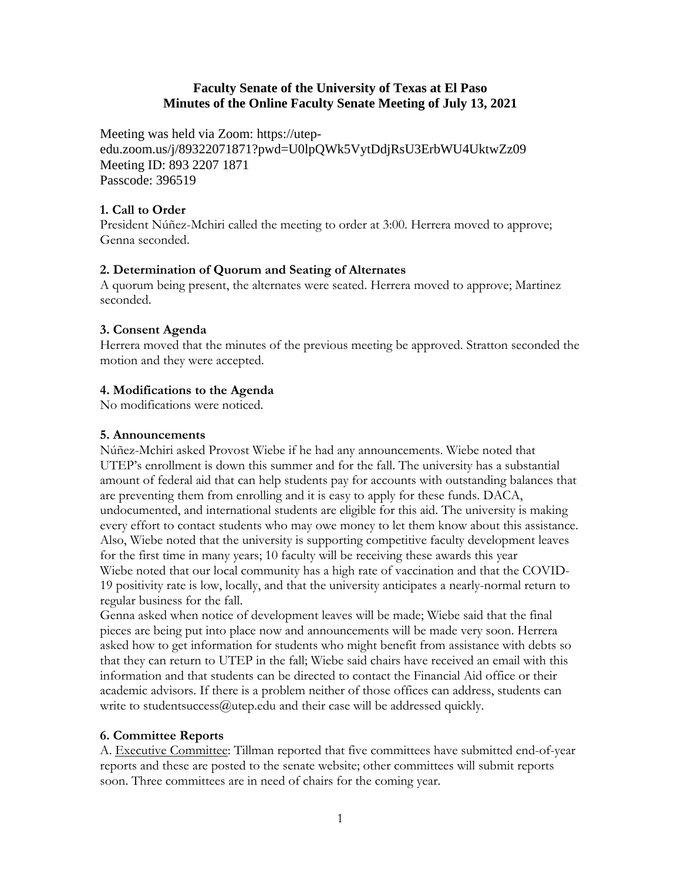## **Faculty Senate of the University of Texas at El Paso Minutes of the Online Faculty Senate Meeting of July 13, 2021**

Meeting was held via Zoom: https://utepedu.zoom.us/j/89322071871?pwd=U0lpQWk5VytDdjRsU3ErbWU4UktwZz09 Meeting ID: 893 2207 1871 Passcode: 396519

## **1. Call to Order**

President Núñez-Mchiri called the meeting to order at 3:00. Herrera moved to approve; Genna seconded.

# **2. Determination of Quorum and Seating of Alternates**

A quorum being present, the alternates were seated. Herrera moved to approve; Martinez seconded.

# **3. Consent Agenda**

Herrera moved that the minutes of the previous meeting be approved. Stratton seconded the motion and they were accepted.

# **4. Modifications to the Agenda**

No modifications were noticed.

### **5. Announcements**

Núñez-Mchiri asked Provost Wiebe if he had any announcements. Wiebe noted that UTEP's enrollment is down this summer and for the fall. The university has a substantial amount of federal aid that can help students pay for accounts with outstanding balances that are preventing them from enrolling and it is easy to apply for these funds. DACA, undocumented, and international students are eligible for this aid. The university is making every effort to contact students who may owe money to let them know about this assistance. Also, Wiebe noted that the university is supporting competitive faculty development leaves for the first time in many years; 10 faculty will be receiving these awards this year Wiebe noted that our local community has a high rate of vaccination and that the COVID-19 positivity rate is low, locally, and that the university anticipates a nearly-normal return to regular business for the fall.

Genna asked when notice of development leaves will be made; Wiebe said that the final pieces are being put into place now and announcements will be made very soon. Herrera asked how to get information for students who might benefit from assistance with debts so that they can return to UTEP in the fall; Wiebe said chairs have received an email with this information and that students can be directed to contact the Financial Aid office or their academic advisors. If there is a problem neither of those offices can address, students can write to student success  $@$  utep.edu and their case will be addressed quickly.

### **6. Committee Reports**

A. Executive Committee: Tillman reported that five committees have submitted end-of-year reports and these are posted to the senate website; other committees will submit reports soon. Three committees are in need of chairs for the coming year.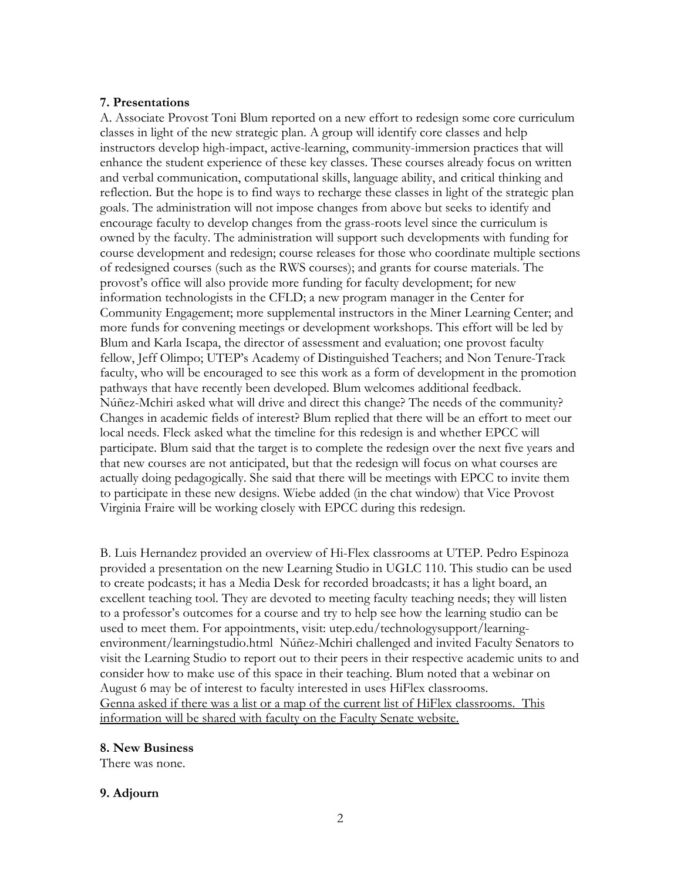#### **7. Presentations**

A. Associate Provost Toni Blum reported on a new effort to redesign some core curriculum classes in light of the new strategic plan. A group will identify core classes and help instructors develop high-impact, active-learning, community-immersion practices that will enhance the student experience of these key classes. These courses already focus on written and verbal communication, computational skills, language ability, and critical thinking and reflection. But the hope is to find ways to recharge these classes in light of the strategic plan goals. The administration will not impose changes from above but seeks to identify and encourage faculty to develop changes from the grass-roots level since the curriculum is owned by the faculty. The administration will support such developments with funding for course development and redesign; course releases for those who coordinate multiple sections of redesigned courses (such as the RWS courses); and grants for course materials. The provost's office will also provide more funding for faculty development; for new information technologists in the CFLD; a new program manager in the Center for Community Engagement; more supplemental instructors in the Miner Learning Center; and more funds for convening meetings or development workshops. This effort will be led by Blum and Karla Iscapa, the director of assessment and evaluation; one provost faculty fellow, Jeff Olimpo; UTEP's Academy of Distinguished Teachers; and Non Tenure-Track faculty, who will be encouraged to see this work as a form of development in the promotion pathways that have recently been developed. Blum welcomes additional feedback. Núñez-Mchiri asked what will drive and direct this change? The needs of the community? Changes in academic fields of interest? Blum replied that there will be an effort to meet our local needs. Fleck asked what the timeline for this redesign is and whether EPCC will participate. Blum said that the target is to complete the redesign over the next five years and that new courses are not anticipated, but that the redesign will focus on what courses are actually doing pedagogically. She said that there will be meetings with EPCC to invite them to participate in these new designs. Wiebe added (in the chat window) that Vice Provost Virginia Fraire will be working closely with EPCC during this redesign.

B. Luis Hernandez provided an overview of Hi-Flex classrooms at UTEP. Pedro Espinoza provided a presentation on the new Learning Studio in UGLC 110. This studio can be used to create podcasts; it has a Media Desk for recorded broadcasts; it has a light board, an excellent teaching tool. They are devoted to meeting faculty teaching needs; they will listen to a professor's outcomes for a course and try to help see how the learning studio can be used to meet them. For appointments, visit: utep.edu/technologysupport/learningenvironment/learningstudio.html Núñez-Mchiri challenged and invited Faculty Senators to visit the Learning Studio to report out to their peers in their respective academic units to and consider how to make use of this space in their teaching. Blum noted that a webinar on August 6 may be of interest to faculty interested in uses HiFlex classrooms. Genna asked if there was a list or a map of the current list of HiFlex classrooms. This information will be shared with faculty on the Faculty Senate website.

### **8. New Business**

There was none.

### **9. Adjourn**